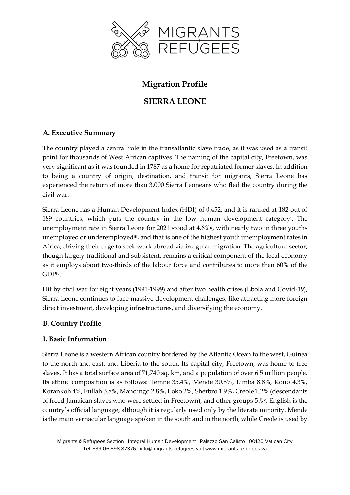

# **Migration Profile**

## **SIERRA LEONE**

## **A. Executive Summary**

The country played a central role in the transatlantic slave trade, as it was used as a transit point for thousands of West African captives. The naming of the capital city, Freetown, was very significant as it was founded in 1787 as a home for repatriated former slaves. In addition to being a country of origin, destination, and transit for migrants, Sierra Leone has experienced the return of more than 3,000 Sierra Leoneans who fled the country during the civil war.

Sierra Leone has a Human Development Index (HDI) of 0.452, and it is ranked at 182 out of 189 countries, which puts the country in the low human development category<sup>i</sup> . The unemployment rate in Sierra Leone for 2021 stood at 4.6%<sup>ii</sup>, with nearly two in three youths unemployed or underemployed<sup>iii</sup>, and that is one of the highest youth unemployment rates in Africa, driving their urge to seek work abroad via irregular migration. The agriculture sector, though largely traditional and subsistent, remains a critical component of the local economy as it employs about two-thirds of the labour force and contributes to more than 60% of the GDPiv.

Hit by civil war for eight years (1991-1999) and after two health crises (Ebola and Covid-19), Sierra Leone continues to face massive development challenges, like attracting more foreign direct investment, developing infrastructures, and diversifying the economy.

#### **B. Country Profile**

#### **I. Basic Information**

Sierra Leone is a western African country bordered by the Atlantic Ocean to the west, Guinea to the north and east, and Liberia to the south. Its capital city, Freetown, was home to free slaves. It has a total surface area of 71,740 sq. km, and a population of over 6.5 million people. Its ethnic composition is as follows: Temne 35.4%, Mende 30.8%, Limba 8.8%, Kono 4.3%, Korankoh 4%, Fullah 3.8%, Mandingo 2.8%, Loko 2%, Sherbro 1.9%, Creole 1.2% (descendants of freed Jamaican slaves who were settled in Freetown), and other groups 5%v. English is the country's official language, although it is regularly used only by the literate minority. Mende is the main vernacular language spoken in the south and in the north, while Creole is used by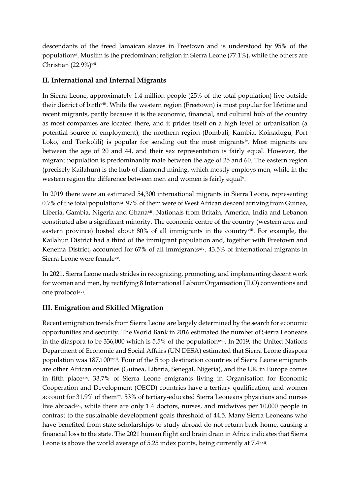descendants of the freed Jamaican slaves in Freetown and is understood by 95% of the population<sup>vi</sup>. Muslim is the predominant religion in Sierra Leone (77.1%), while the others are Christian (22.9%)<sup>vii</sup>.

#### **II. International and Internal Migrants**

In Sierra Leone, approximately 1.4 million people (25% of the total population) live outside their district of birthviii. While the western region (Freetown) is most popular for lifetime and recent migrants, partly because it is the economic, financial, and cultural hub of the country as most companies are located there, and it prides itself on a high level of urbanisation (a potential source of employment), the northern region (Bombali, Kambia, Koinadugu, Port Loko, and Tonkolili) is popular for sending out the most migrantsix. Most migrants are between the age of 20 and 44, and their sex representation is fairly equal. However, the migrant population is predominantly male between the age of 25 and 60. The eastern region (precisely Kailahun) is the hub of diamond mining, which mostly employs men, while in the western region the difference between men and women is fairly equalx.

In 2019 there were an estimated 54,300 international migrants in Sierra Leone, representing 0.7% of the total population<sup>xi</sup>. 97% of them were of West African descent arriving from Guinea, Liberia, Gambia, Nigeria and Ghanaxii. Nationals from Britain, America, India and Lebanon constituted also a significant minority. The economic centre of the country (western area and eastern province) hosted about 80% of all immigrants in the country<sup>xiii</sup>. For example, the Kailahun District had a third of the immigrant population and, together with Freetown and Kenema District, accounted for 67% of all immigrantsxiv. 43.5% of international migrants in Sierra Leone were femalexv.

In 2021, Sierra Leone made strides in recognizing, promoting, and implementing decent work for women and men, by rectifying 8 International Labour Organisation (ILO) conventions and one protocolxvi.

#### **III. Emigration and Skilled Migration**

Recent emigration trends from Sierra Leone are largely determined by the search for economic opportunities and security. The World Bank in 2016 estimated the number of Sierra Leoneans in the diaspora to be 336,000 which is 5.5% of the populationxvii. In 2019, the United Nations Department of Economic and Social Affairs (UN DESA) estimated that Sierra Leone diaspora population was 187,100<sup>xviii</sup>. Four of the 5 top destination countries of Sierra Leone emigrants are other African countries (Guinea, Liberia, Senegal, Nigeria), and the UK in Europe comes in fifth placexix. 33.7% of Sierra Leone emigrants living in Organisation for Economic Cooperation and Development (OECD) countries have a tertiary qualification, and women account for 31.9% of them<sup>xx</sup>. 53% of tertiary-educated Sierra Leoneans physicians and nurses live abroad<sup>xxi</sup>, while there are only 1.4 doctors, nurses, and midwives per 10,000 people in contrast to the sustainable development goals threshold of 44.5. Many Sierra Leoneans who have benefited from state scholarships to study abroad do not return back home, causing a financial loss to the state. The 2021 human flight and brain drain in Africa indicates that Sierra Leone is above the world average of 5.25 index points, being currently at 7.4<sup>xxii</sup>.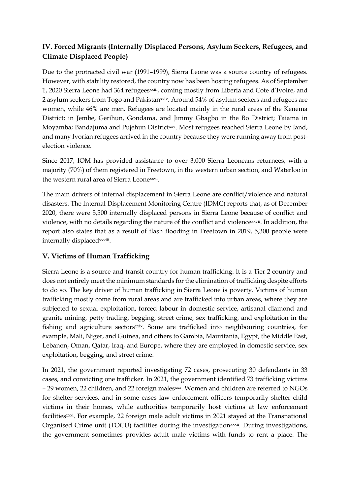## **IV. Forced Migrants (Internally Displaced Persons, Asylum Seekers, Refugees, and Climate Displaced People)**

Due to the protracted civil war (1991–1999), Sierra Leone was a source country of refugees. However, with stability restored, the country now has been hosting refugees. As of September 1, 2020 Sierra Leone had 364 refugeesxxiii, coming mostly from Liberia and Cote d'Ivoire, and 2 asylum seekers from Togo and Pakistanxxiv. Around 54% of asylum seekers and refugees are women, while 46% are men. Refugees are located mainly in the rural areas of the Kenema District; in Jembe, Gerihun, Gondama, and Jimmy Gbagbo in the Bo District; Taiama in Moyamba; Bandajuma and Pujehun Districtxxv. Most refugees reached Sierra Leone by land, and many Ivorian refugees arrived in the country because they were running away from postelection violence.

Since 2017, IOM has provided assistance to over 3,000 Sierra Leoneans returnees, with a majority (70%) of them registered in Freetown, in the western urban section, and Waterloo in the western rural area of Sierra Leonexxvi .

The main drivers of internal displacement in Sierra Leone are conflict/violence and natural disasters. The Internal Displacement Monitoring Centre (IDMC) reports that, as of December 2020, there were 5,500 internally displaced persons in Sierra Leone because of conflict and violence, with no details regarding the nature of the conflict and violencexxvii. In addition, the report also states that as a result of flash flooding in Freetown in 2019, 5,300 people were internally displaced<sup>xxviii</sup>.

#### **V. Victims of Human Trafficking**

Sierra Leone is a source and transit country for human trafficking. It is a Tier 2 country and does not entirely meet the minimum standards for the elimination of trafficking despite efforts to do so. The key driver of human trafficking in Sierra Leone is poverty. Victims of human trafficking mostly come from rural areas and are trafficked into urban areas, where they are subjected to sexual exploitation, forced labour in domestic service, artisanal diamond and granite mining, petty trading, begging, street crime, sex trafficking, and exploitation in the fishing and agriculture sectorsxxix. Some are trafficked into neighbouring countries, for example, Mali, Niger, and Guinea, and others to Gambia, Mauritania, Egypt, the Middle East, Lebanon, Oman, Qatar, Iraq, and Europe, where they are employed in domestic service, sex exploitation, begging, and street crime.

In 2021, the government reported investigating 72 cases, prosecuting 30 defendants in 33 cases, and convicting one trafficker. In 2021, the government identified 73 trafficking victims – 29 women, 22 children, and 22 foreign malesxxx. Women and children are referred to NGOs for shelter services, and in some cases law enforcement officers temporarily shelter child victims in their homes, while authorities temporarily host victims at law enforcement facilitiesxxxi. For example, 22 foreign male adult victims in 2021 stayed at the Transnational Organised Crime unit (TOCU) facilities during the investigationxxxii. During investigations, the government sometimes provides adult male victims with funds to rent a place. The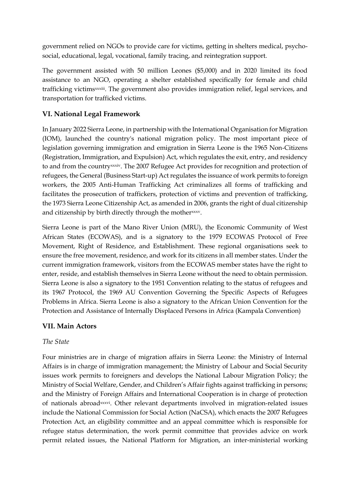government relied on NGOs to provide care for victims, getting in shelters medical, psychosocial, educational, legal, vocational, family tracing, and reintegration support.

The government assisted with 50 million Leones (\$5,000) and in 2020 limited its food assistance to an NGO, operating a shelter established specifically for female and child trafficking victimsxxxiii. The government also provides immigration relief, legal services, and transportation for trafficked victims.

### **VI. National Legal Framework**

In January 2022 Sierra Leone, in partnership with the International Organisation for Migration (IOM), launched the country's national migration policy. The most important piece of legislation governing immigration and emigration in Sierra Leone is the 1965 Non-Citizens (Registration, Immigration, and Expulsion) Act, which regulates the exit, entry, and residency to and from the countryxxxiv. The 2007 Refugee Act provides for recognition and protection of refugees, the General (Business Start-up) Act regulates the issuance of work permits to foreign workers, the 2005 Anti-Human Trafficking Act criminalizes all forms of trafficking and facilitates the prosecution of traffickers, protection of victims and prevention of trafficking, the 1973 Sierra Leone Citizenship Act, as amended in 2006, grants the right of dual citizenship and citizenship by birth directly through the motherxxxv.

Sierra Leone is part of the Mano River Union (MRU), the Economic Community of West African States (ECOWAS), and is a signatory to the 1979 ECOWAS Protocol of Free Movement, Right of Residence, and Establishment. These regional organisations seek to ensure the free movement, residence, and work for its citizens in all member states. Under the current immigration framework, visitors from the ECOWAS member states have the right to enter, reside, and establish themselves in Sierra Leone without the need to obtain permission. Sierra Leone is also a signatory to the 1951 Convention relating to the status of refugees and its 1967 Protocol, the 1969 AU Convention Governing the Specific Aspects of Refugees Problems in Africa. Sierra Leone is also a signatory to the African Union Convention for the Protection and Assistance of Internally Displaced Persons in Africa (Kampala Convention)

#### **VII. Main Actors**

#### *The State*

Four ministries are in charge of migration affairs in Sierra Leone: the Ministry of Internal Affairs is in charge of immigration management; the Ministry of Labour and Social Security issues work permits to foreigners and develops the National Labour Migration Policy; the Ministry of Social Welfare, Gender, and Children's Affair fights against trafficking in persons; and the Ministry of Foreign Affairs and International Cooperation is in charge of protection of nationals abroadxxxvi . Other relevant departments involved in migration-related issues include the National Commission for Social Action (NaCSA), which enacts the 2007 Refugees Protection Act, an eligibility committee and an appeal committee which is responsible for refugee status determination, the work permit committee that provides advice on work permit related issues, the National Platform for Migration, an inter-ministerial working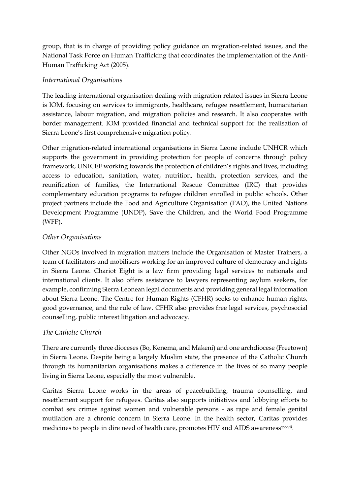group, that is in charge of providing policy guidance on migration-related issues, and the National Task Force on Human Trafficking that coordinates the implementation of the Anti-Human Trafficking Act (2005).

#### *International Organisations*

The leading international organisation dealing with migration related issues in Sierra Leone is IOM, focusing on services to immigrants, healthcare, refugee resettlement, humanitarian assistance, labour migration, and migration policies and research. It also cooperates with border management. IOM provided financial and technical support for the realisation of Sierra Leone's first comprehensive migration policy.

Other migration-related international organisations in Sierra Leone include UNHCR which supports the government in providing protection for people of concerns through policy framework, UNICEF working towards the protection of children's rights and lives, including access to education, sanitation, water, nutrition, health, protection services, and the reunification of families, the International Rescue Committee (IRC) that provides complementary education programs to refugee children enrolled in public schools. Other project partners include the Food and Agriculture Organisation (FAO), the United Nations Development Programme (UNDP), Save the Children, and the World Food Programme (WFP).

#### *Other Organisations*

Other NGOs involved in migration matters include the Organisation of Master Trainers, a team of facilitators and mobilisers working for an improved culture of democracy and rights in Sierra Leone. Chariot Eight is a law firm providing legal services to nationals and international clients. It also offers assistance to lawyers representing asylum seekers, for example, confirming Sierra Leonean legal documents and providing general legal information about Sierra Leone. The Centre for Human Rights (CFHR) seeks to enhance human rights, good governance, and the rule of law. CFHR also provides free legal services, psychosocial counselling, public interest litigation and advocacy.

#### *The Catholic Church*

There are currently three dioceses (Bo, Kenema, and Makeni) and one archdiocese (Freetown) in Sierra Leone. Despite being a largely Muslim state, the presence of the Catholic Church through its humanitarian organisations makes a difference in the lives of so many people living in Sierra Leone, especially the most vulnerable.

Caritas Sierra Leone works in the areas of peacebuilding, trauma counselling, and resettlement support for refugees. Caritas also supports initiatives and lobbying efforts to combat sex crimes against women and vulnerable persons - as rape and female genital mutilation are a chronic concern in Sierra Leone. In the health sector, Caritas provides medicines to people in dire need of health care, promotes HIV and AIDS awareness<sup>xxxvii</sup>.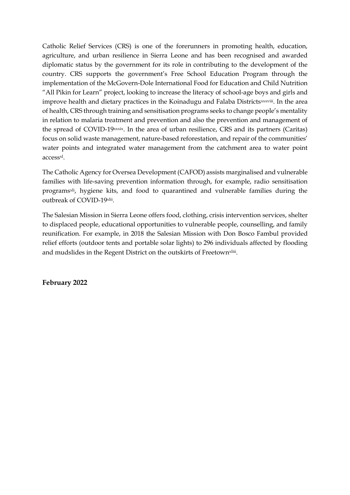Catholic Relief Services (CRS) is one of the forerunners in promoting health, education, agriculture, and urban resilience in Sierra Leone and has been recognised and awarded diplomatic status by the government for its role in contributing to the development of the country. CRS supports the government's Free School Education Program through the implementation of the McGovern-Dole International Food for Education and Child Nutrition "All Pikin for Learn" project, looking to increase the literacy of school-age boys and girls and improve health and dietary practices in the Koinadugu and Falaba Districtsxxxviii. In the area of health, CRS through training and sensitisation programs seeks to change people's mentality in relation to malaria treatment and prevention and also the prevention and management of the spread of COVID-19xxxix. In the area of urban resilience, CRS and its partners (Caritas) focus on solid waste management, nature-based reforestation, and repair of the communities' water points and integrated water management from the catchment area to water point access<sup>xl</sup>.

The Catholic Agency for Oversea Development (CAFOD) assists marginalised and vulnerable families with life-saving prevention information through, for example, radio sensitisation programs<sup>xli</sup>, hygiene kits, and food to quarantined and vulnerable families during the outbreak of COVID-19xlii .

The Salesian Mission in Sierra Leone offers food, clothing, crisis intervention services, shelter to displaced people, educational opportunities to vulnerable people, counselling, and family reunification. For example, in 2018 the Salesian Mission with Don Bosco Fambul provided relief efforts (outdoor tents and portable solar lights) to 296 individuals affected by flooding and mudslides in the Regent District on the outskirts of Freetown<sup>xliii</sup>.

**February 2022**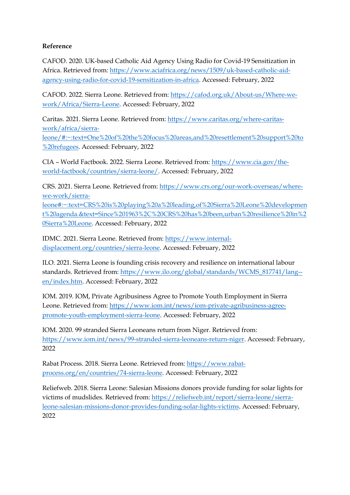#### **Reference**

CAFOD. 2020. UK-based Catholic Aid Agency Using Radio for Covid-19 Sensitization in Africa. Retrieved from: [https://www.aciafrica.org/news/1509/uk-based-catholic-aid](https://www.aciafrica.org/news/1509/uk-based-catholic-aid-agency-using-radio-for-covid-19-sensitization-in-africa)[agency-using-radio-for-covid-19-sensitization-in-africa.](https://www.aciafrica.org/news/1509/uk-based-catholic-aid-agency-using-radio-for-covid-19-sensitization-in-africa) Accessed: February, 2022

CAFOD. 2022. Sierra Leone. Retrieved from: [https://cafod.org.uk/About-us/Where-we](https://cafod.org.uk/About-us/Where-we-work/Africa/Sierra-Leone)[work/Africa/Sierra-Leone.](https://cafod.org.uk/About-us/Where-we-work/Africa/Sierra-Leone) Accessed: February, 2022

Caritas. 2021. Sierra Leone. Retrieved from: [https://www.caritas.org/where-caritas](https://www.caritas.org/where-caritas-work/africa/sierra-leone/#:~:text=One%20of%20the%20focus%20areas,and%20resettlement%20support%20to%20refugees)[work/africa/sierra](https://www.caritas.org/where-caritas-work/africa/sierra-leone/#:~:text=One%20of%20the%20focus%20areas,and%20resettlement%20support%20to%20refugees)[leone/#:~:text=One%20of%20the%20focus%20areas,and%20resettlement%20support%20to](https://www.caritas.org/where-caritas-work/africa/sierra-leone/#:~:text=One%20of%20the%20focus%20areas,and%20resettlement%20support%20to%20refugees)

[%20refugees.](https://www.caritas.org/where-caritas-work/africa/sierra-leone/#:~:text=One%20of%20the%20focus%20areas,and%20resettlement%20support%20to%20refugees) Accessed: February, 2022

CIA – World Factbook. 2022. Sierra Leone. Retrieved from: [https://www.cia.gov/the](https://www.cia.gov/the-world-factbook/countries/sierra-leone/)[world-factbook/countries/sierra-leone/.](https://www.cia.gov/the-world-factbook/countries/sierra-leone/) Accessed: February, 2022

CRS. 2021. Sierra Leone. Retrieved from: [https://www.crs.org/our-work-overseas/where](https://www.crs.org/our-work-overseas/where-we-work/sierra-leone#:~:text=CRS%20is%20playing%20a%20leading,of%20Sierra%20Leone%20development%20agenda.&text=Since%201963%2C%20CRS%20has%20been,urban%20resilience%20in%20Sierra%20Leone)[we-work/sierra-](https://www.crs.org/our-work-overseas/where-we-work/sierra-leone#:~:text=CRS%20is%20playing%20a%20leading,of%20Sierra%20Leone%20development%20agenda.&text=Since%201963%2C%20CRS%20has%20been,urban%20resilience%20in%20Sierra%20Leone)

[leone#:~:text=CRS%20is%20playing%20a%20leading,of%20Sierra%20Leone%20developmen](https://www.crs.org/our-work-overseas/where-we-work/sierra-leone#:~:text=CRS%20is%20playing%20a%20leading,of%20Sierra%20Leone%20development%20agenda.&text=Since%201963%2C%20CRS%20has%20been,urban%20resilience%20in%20Sierra%20Leone) [t%20agenda.&text=Since%201963%2C%20CRS%20has%20been,urban%20resilience%20in%2](https://www.crs.org/our-work-overseas/where-we-work/sierra-leone#:~:text=CRS%20is%20playing%20a%20leading,of%20Sierra%20Leone%20development%20agenda.&text=Since%201963%2C%20CRS%20has%20been,urban%20resilience%20in%20Sierra%20Leone) [0Sierra%20Leone.](https://www.crs.org/our-work-overseas/where-we-work/sierra-leone#:~:text=CRS%20is%20playing%20a%20leading,of%20Sierra%20Leone%20development%20agenda.&text=Since%201963%2C%20CRS%20has%20been,urban%20resilience%20in%20Sierra%20Leone) Accessed: February, 2022

IDMC. 2021. Sierra Leone. Retrieved from: [https://www.internal](https://www.internal-displacement.org/countries/sierra-leone)[displacement.org/countries/sierra-leone.](https://www.internal-displacement.org/countries/sierra-leone) Accessed: February, 2022

ILO. 2021. Sierra Leone is founding crisis recovery and resilience on international labour standards. Retrieved from: [https://www.ilo.org/global/standards/WCMS\\_817741/lang-](https://www.ilo.org/global/standards/WCMS_817741/lang--en/index.htm) [en/index.htm.](https://www.ilo.org/global/standards/WCMS_817741/lang--en/index.htm) Accessed: February, 2022

IOM. 2019. IOM, Private Agribusiness Agree to Promote Youth Employment in Sierra Leone. Retrieved from: [https://www.iom.int/news/iom-private-agribusiness-agree](https://www.iom.int/news/iom-private-agribusiness-agree-promote-youth-employment-sierra-leone)[promote-youth-employment-sierra-leone.](https://www.iom.int/news/iom-private-agribusiness-agree-promote-youth-employment-sierra-leone) Accessed: February, 2022

IOM. 2020. 99 stranded Sierra Leoneans return from Niger. Retrieved from: [https://www.iom.int/news/99-stranded-sierra-leoneans-return-niger.](https://www.iom.int/news/99-stranded-sierra-leoneans-return-niger) Accessed: February, 2022

Rabat Process. 2018. Sierra Leone. Retrieved from: [https://www.rabat](https://www.rabat-process.org/en/countries/74-sierra-leone)[process.org/en/countries/74-sierra-leone.](https://www.rabat-process.org/en/countries/74-sierra-leone) Accessed: February, 2022

Reliefweb. 2018. Sierra Leone: Salesian Missions donors provide funding for solar lights for victims of mudslides. Retrieved from: [https://reliefweb.int/report/sierra-leone/sierra](https://reliefweb.int/report/sierra-leone/sierra-leone-salesian-missions-donor-provides-funding-solar-lights-victims)[leone-salesian-missions-donor-provides-funding-solar-lights-victims.](https://reliefweb.int/report/sierra-leone/sierra-leone-salesian-missions-donor-provides-funding-solar-lights-victims) Accessed: February, 2022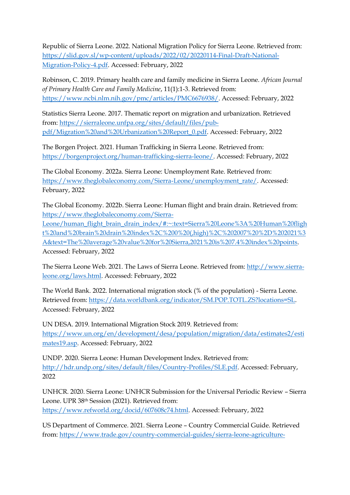Republic of Sierra Leone. 2022. National Migration Policy for Sierra Leone. Retrieved from: [https://slid.gov.sl/wp-content/uploads/2022/02/20220114-Final-Draft-National-](https://slid.gov.sl/wp-content/uploads/2022/02/20220114-Final-Draft-National-Migration-Policy-4.pdf)[Migration-Policy-4.pdf.](https://slid.gov.sl/wp-content/uploads/2022/02/20220114-Final-Draft-National-Migration-Policy-4.pdf) Accessed: February, 2022

Robinson, C. 2019. Primary health care and family medicine in Sierra Leone. *African Journal of Primary Health Care and Family Medicine*, 11(1):1-3. Retrieved from: [https://www.ncbi.nlm.nih.gov/pmc/articles/PMC6676938/.](https://www.ncbi.nlm.nih.gov/pmc/articles/PMC6676938/) Accessed: February, 2022

Statistics Sierra Leone. 2017. Thematic report on migration and urbanization. Retrieved from: [https://sierraleone.unfpa.org/sites/default/files/pub](https://sierraleone.unfpa.org/sites/default/files/pub-pdf/Migration%20and%20Urbanization%20Report_0.pdf)[pdf/Migration%20and%20Urbanization%20Report\\_0.pdf.](https://sierraleone.unfpa.org/sites/default/files/pub-pdf/Migration%20and%20Urbanization%20Report_0.pdf) Accessed: February, 2022

The Borgen Project. 2021. Human Trafficking in Sierra Leone. Retrieved from: [https://borgenproject.org/human-trafficking-sierra-leone/.](https://borgenproject.org/human-trafficking-sierra-leone/) Accessed: February, 2022

The Global Economy. 2022a. Sierra Leone: Unemployment Rate. Retrieved from: [https://www.theglobaleconomy.com/Sierra-Leone/unemployment\\_rate/.](https://www.theglobaleconomy.com/Sierra-Leone/unemployment_rate/) Accessed: February, 2022

The Global Economy. 2022b. Sierra Leone: Human flight and brain drain. Retrieved from: [https://www.theglobaleconomy.com/Sierra-](https://www.theglobaleconomy.com/Sierra-Leone/human_flight_brain_drain_index/#:~:text=Sierra%20Leone%3A%20Human%20flight%20and%20brain%20drain%20index%2C%200%20(,high)%2C%202007%20%2D%202021%3A&text=The%20average%20value%20for%20Sierra,2021%20is%207.4%20index%20points)

[Leone/human\\_flight\\_brain\\_drain\\_index/#:~:text=Sierra%20Leone%3A%20Human%20fligh](https://www.theglobaleconomy.com/Sierra-Leone/human_flight_brain_drain_index/#:~:text=Sierra%20Leone%3A%20Human%20flight%20and%20brain%20drain%20index%2C%200%20(,high)%2C%202007%20%2D%202021%3A&text=The%20average%20value%20for%20Sierra,2021%20is%207.4%20index%20points) [t%20and%20brain%20drain%20index%2C%200%20\(,high\)%2C%202007%20%2D%202021%3](https://www.theglobaleconomy.com/Sierra-Leone/human_flight_brain_drain_index/#:~:text=Sierra%20Leone%3A%20Human%20flight%20and%20brain%20drain%20index%2C%200%20(,high)%2C%202007%20%2D%202021%3A&text=The%20average%20value%20for%20Sierra,2021%20is%207.4%20index%20points) [A&text=The%20average%20value%20for%20Sierra,2021%20is%207.4%20index%20points.](https://www.theglobaleconomy.com/Sierra-Leone/human_flight_brain_drain_index/#:~:text=Sierra%20Leone%3A%20Human%20flight%20and%20brain%20drain%20index%2C%200%20(,high)%2C%202007%20%2D%202021%3A&text=The%20average%20value%20for%20Sierra,2021%20is%207.4%20index%20points) Accessed: February, 2022

The Sierra Leone Web. 2021. The Laws of Sierra Leone. Retrieved from: [http://www.sierra](http://www.sierra-leone.org/laws.html)[leone.org/laws.html.](http://www.sierra-leone.org/laws.html) Accessed: February, 2022

The World Bank. 2022. International migration stock (% of the population) - Sierra Leone. Retrieved from: [https://data.worldbank.org/indicator/SM.POP.TOTL.ZS?locations=SL.](https://data.worldbank.org/indicator/SM.POP.TOTL.ZS?locations=SL) Accessed: February, 2022

UN DESA. 2019. International Migration Stock 2019. Retrieved from: [https://www.un.org/en/development/desa/population/migration/data/estimates2/esti](https://www.un.org/en/development/desa/population/migration/data/estimates2/estimates19.asp) [mates19.asp.](https://www.un.org/en/development/desa/population/migration/data/estimates2/estimates19.asp) Accessed: February, 2022

UNDP. 2020. Sierra Leone: Human Development Index. Retrieved from: [http://hdr.undp.org/sites/default/files/Country-Profiles/SLE.pdf.](http://hdr.undp.org/sites/default/files/Country-Profiles/SLE.pdf) Accessed: February, 2022

UNHCR. 2020. Sierra Leone: UNHCR Submission for the Universal Periodic Review – Sierra Leone. UPR 38th Session (2021). Retrieved from: [https://www.refworld.org/docid/607608c74.html.](https://www.refworld.org/docid/607608c74.html) Accessed: February, 2022

US Department of Commerce. 2021. Sierra Leone – Country Commercial Guide. Retrieved from: [https://www.trade.gov/country-commercial-guides/sierra-leone-agriculture-](https://www.trade.gov/country-commercial-guides/sierra-leone-agriculture-sector#:~:text=The%20land%20is%20suitable%20for,and%20the%20rearing%20of%20livestock)